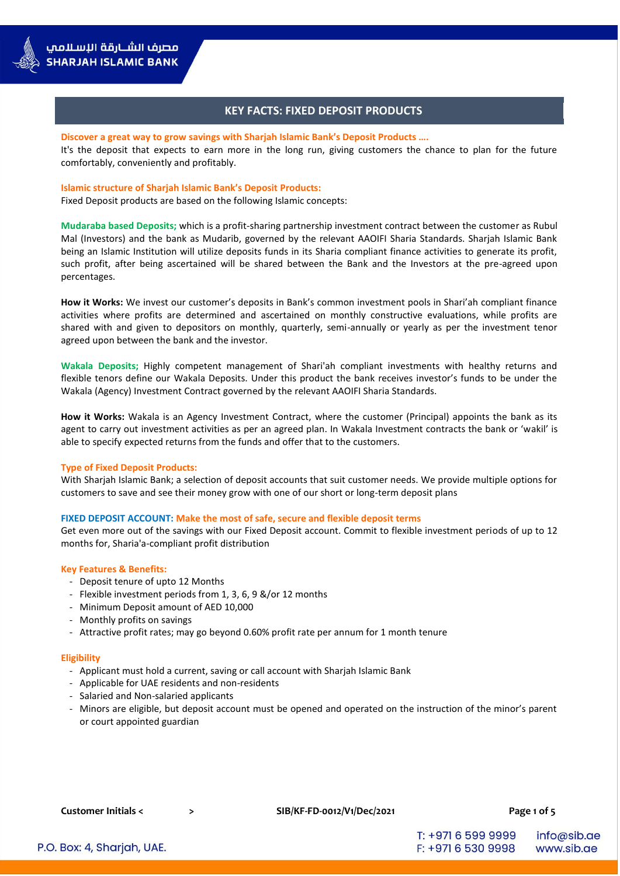# **KEY FACTS: FIXED DEPOSIT PRODUCTS**

#### **Discover a great way to grow savings with Sharjah Islamic Bank's Deposit Products ….**

It's the deposit that expects to earn more in the long run, giving customers the chance to plan for the future comfortably, conveniently and profitably.

### **Islamic structure of Sharjah Islamic Bank's Deposit Products:**

Fixed Deposit products are based on the following Islamic concepts:

**Mudaraba based Deposits;** which is a profit-sharing partnership investment contract between the customer as Rubul Mal (Investors) and the bank as Mudarib, governed by the relevant AAOIFI Sharia Standards. Sharjah Islamic Bank being an Islamic Institution will utilize deposits funds in its Sharia compliant finance activities to generate its profit, such profit, after being ascertained will be shared between the Bank and the Investors at the pre-agreed upon percentages.

**How it Works:** We invest our customer's deposits in Bank's common investment pools in Shari'ah compliant finance activities where profits are determined and ascertained on monthly constructive evaluations, while profits are shared with and given to depositors on monthly, quarterly, semi-annually or yearly as per the investment tenor agreed upon between the bank and the investor.

**Wakala Deposits;** Highly competent management of Shari'ah compliant investments with healthy returns and flexible tenors define our Wakala Deposits. Under this product the bank receives investor's funds to be under the Wakala (Agency) Investment Contract governed by the relevant AAOIFI Sharia Standards.

**How it Works:** Wakala is an Agency Investment Contract, where the customer (Principal) appoints the bank as its agent to carry out investment activities as per an agreed plan. In Wakala Investment contracts the bank or 'wakil' is able to specify expected returns from the funds and offer that to the customers.

### **Type of Fixed Deposit Products:**

With Sharjah Islamic Bank; a selection of deposit accounts that suit customer needs. We provide multiple options for customers to save and see their money grow with one of our short or long-term deposit plans

### **FIXED DEPOSIT ACCOUNT: Make the most of safe, secure and flexible deposit terms**

Get even more out of the savings with our Fixed Deposit account. Commit to flexible investment periods of up to 12 months for, Sharia'a-compliant profit distribution

#### **Key Features & Benefits:**

- Deposit tenure of upto 12 Months
- Flexible investment periods from 1, 3, 6, 9 &/or 12 months
- Minimum Deposit amount of AED 10,000
- Monthly profits on savings
- Attractive profit rates; may go beyond 0.60% profit rate per annum for 1 month tenure

#### **Eligibility**

- Applicant must hold a current, saving or call account with Sharjah Islamic Bank
- Applicable for UAE residents and non-residents
- Salaried and Non-salaried applicants
- Minors are eligible, but deposit account must be opened and operated on the instruction of the minor's parent or court appointed guardian

**Customer Initials < > SIB/KF-FD-0012/V1/Dec/2021 Page 1 of 5**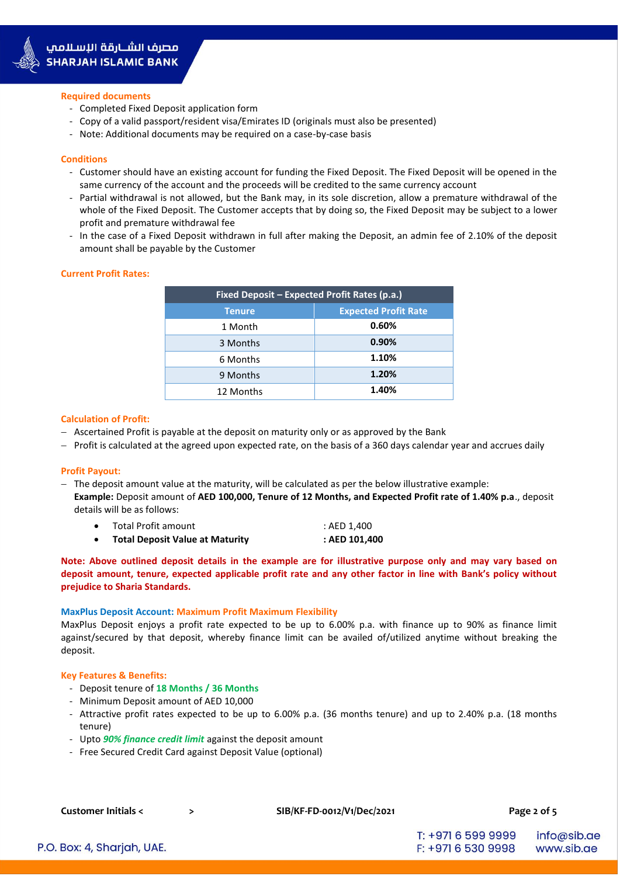

#### **Required documents**

- Completed Fixed Deposit application form
- Copy of a valid passport/resident visa/Emirates ID (originals must also be presented)
- Note: Additional documents may be required on a case-by-case basis

#### **Conditions**

- Customer should have an existing account for funding the Fixed Deposit. The Fixed Deposit will be opened in the same currency of the account and the proceeds will be credited to the same currency account
- Partial withdrawal is not allowed, but the Bank may, in its sole discretion, allow a premature withdrawal of the whole of the Fixed Deposit. The Customer accepts that by doing so, the Fixed Deposit may be subject to a lower profit and premature withdrawal fee
- In the case of a Fixed Deposit withdrawn in full after making the Deposit, an admin fee of 2.10% of the deposit amount shall be payable by the Customer

#### **Current Profit Rates:**

| Fixed Deposit - Expected Profit Rates (p.a.) |                             |  |
|----------------------------------------------|-----------------------------|--|
| <b>Tenure</b>                                | <b>Expected Profit Rate</b> |  |
| 1 Month                                      | 0.60%                       |  |
| 3 Months                                     | 0.90%                       |  |
| 6 Months                                     | 1.10%                       |  |
| 9 Months                                     | 1.20%                       |  |
| 12 Months                                    | 1.40%                       |  |

#### **Calculation of Profit:**

- $-$  Ascertained Profit is payable at the deposit on maturity only or as approved by the Bank
- $P$  Profit is calculated at the agreed upon expected rate, on the basis of a 360 days calendar year and accrues daily

#### **Profit Payout:**

- $-$  The deposit amount value at the maturity, will be calculated as per the below illustrative example: **Example:** Deposit amount of **AED 100,000, Tenure of 12 Months, and Expected Profit rate of 1.40% p.a**., deposit details will be as follows:
	- Total Profit amount  $\overline{a}$ : AED 1.400
	- **Total Deposit Value at Maturity : AED 101,400**

**Note: Above outlined deposit details in the example are for illustrative purpose only and may vary based on deposit amount, tenure, expected applicable profit rate and any other factor in line with Bank's policy without prejudice to Sharia Standards.**

#### **MaxPlus Deposit Account: Maximum Profit Maximum Flexibility**

MaxPlus Deposit enjoys a profit rate expected to be up to 6.00% p.a. with finance up to 90% as finance limit against/secured by that deposit, whereby finance limit can be availed of/utilized anytime without breaking the deposit.

#### **Key Features & Benefits:**

- Deposit tenure of **18 Months / 36 Months**
- Minimum Deposit amount of AED 10,000
- Attractive profit rates expected to be up to 6.00% p.a. (36 months tenure) and up to 2.40% p.a. (18 months tenure)
- Upto *90% finance credit limit* against the deposit amount
- Free Secured Credit Card against Deposit Value (optional)

**Customer Initials < > SIB/KF-FD-0012/V1/Dec/2021 Page 2 of 5**

P.O. Box: 4, Sharjah, UAE.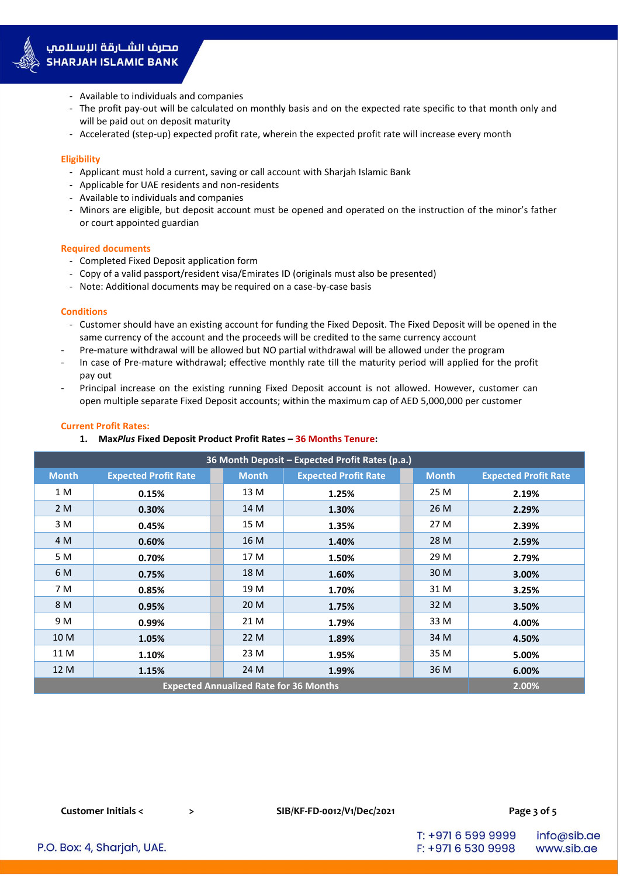

- Available to individuals and companies
- The profit pay-out will be calculated on monthly basis and on the expected rate specific to that month only and will be paid out on deposit maturity
- Accelerated (step-up) expected profit rate, wherein the expected profit rate will increase every month

### **Eligibility**

- Applicant must hold a current, saving or call account with Sharjah Islamic Bank
- Applicable for UAE residents and non-residents
- Available to individuals and companies
- Minors are eligible, but deposit account must be opened and operated on the instruction of the minor's father or court appointed guardian

### **Required documents**

- Completed Fixed Deposit application form
- Copy of a valid passport/resident visa/Emirates ID (originals must also be presented)
- Note: Additional documents may be required on a case-by-case basis

### **Conditions**

- Customer should have an existing account for funding the Fixed Deposit. The Fixed Deposit will be opened in the same currency of the account and the proceeds will be credited to the same currency account
- Pre-mature withdrawal will be allowed but NO partial withdrawal will be allowed under the program
- In case of Pre-mature withdrawal; effective monthly rate till the maturity period will applied for the profit pay out
- Principal increase on the existing running Fixed Deposit account is not allowed. However, customer can open multiple separate Fixed Deposit accounts; within the maximum cap of AED 5,000,000 per customer

# **Current Profit Rates:**

### **1. Max***Plus* **Fixed Deposit Product Profit Rates – 36 Months Tenure:**

| 36 Month Deposit - Expected Profit Rates (p.a.) |                             |  |              |                             |  |              |                             |
|-------------------------------------------------|-----------------------------|--|--------------|-----------------------------|--|--------------|-----------------------------|
| <b>Month</b>                                    | <b>Expected Profit Rate</b> |  | <b>Month</b> | <b>Expected Profit Rate</b> |  | <b>Month</b> | <b>Expected Profit Rate</b> |
| 1 M                                             | 0.15%                       |  | 13 M         | 1.25%                       |  | 25 M         | 2.19%                       |
| 2 M                                             | 0.30%                       |  | 14 M         | 1.30%                       |  | 26 M         | 2.29%                       |
| 3 M                                             | 0.45%                       |  | 15 M         | 1.35%                       |  | 27 M         | 2.39%                       |
| 4 M                                             | 0.60%                       |  | 16 M         | 1.40%                       |  | 28 M         | 2.59%                       |
| 5 M                                             | 0.70%                       |  | 17 M         | 1.50%                       |  | 29 M         | 2.79%                       |
| 6 M                                             | 0.75%                       |  | 18 M         | 1.60%                       |  | 30 M         | 3.00%                       |
| 7 M                                             | 0.85%                       |  | 19 M         | 1.70%                       |  | 31 M         | 3.25%                       |
| 8 M                                             | 0.95%                       |  | 20 M         | 1.75%                       |  | 32 M         | 3.50%                       |
| 9 M                                             | 0.99%                       |  | 21 M         | 1.79%                       |  | 33 M         | 4.00%                       |
| 10 M                                            | 1.05%                       |  | 22 M         | 1.89%                       |  | 34 M         | 4.50%                       |
| 11 M                                            | 1.10%                       |  | 23 M         | 1.95%                       |  | 35 M         | 5.00%                       |
| 12 M                                            | 1.15%                       |  | 24 M         | 1.99%                       |  | 36 M         | 6.00%                       |
| <b>Expected Annualized Rate for 36 Months</b>   |                             |  |              |                             |  | 2.00%        |                             |

**Customer Initials < > SIB/KF-FD-0012/V1/Dec/2021 Page 3 of 5**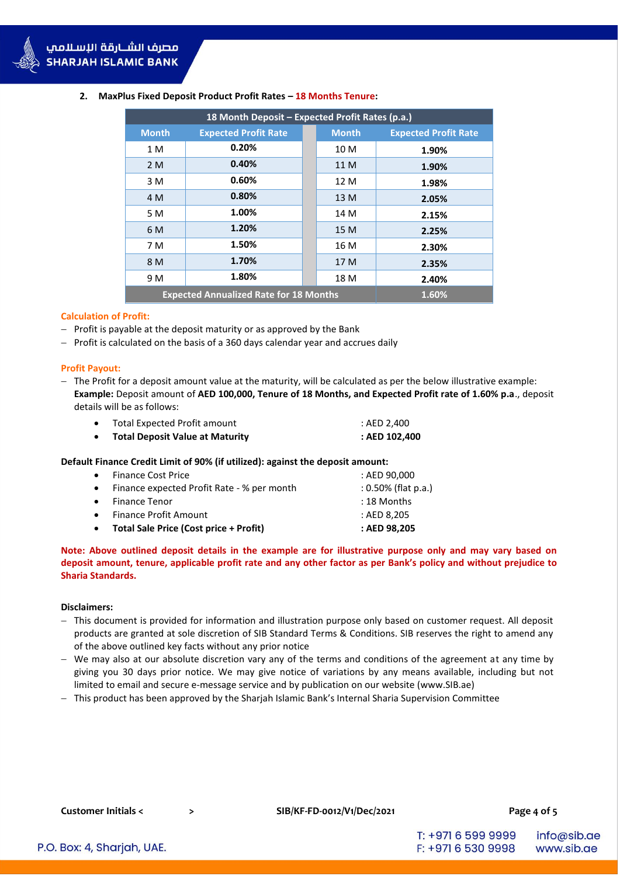| 18 Month Deposit - Expected Profit Rates (p.a.) |                             |  |              |                             |
|-------------------------------------------------|-----------------------------|--|--------------|-----------------------------|
| <b>Month</b>                                    | <b>Expected Profit Rate</b> |  | <b>Month</b> | <b>Expected Profit Rate</b> |
| 1 M                                             | 0.20%                       |  | 10 M         | 1.90%                       |
| 2M                                              | 0.40%                       |  | 11 M         | 1.90%                       |
| 3 M                                             | 0.60%                       |  | 12 M         | 1.98%                       |
| 4 M                                             | 0.80%                       |  | 13 M         | 2.05%                       |
| 5 M                                             | 1.00%                       |  | 14 M         | 2.15%                       |
| 6 M                                             | 1.20%<br>1.50%              |  | 15 M         | 2.25%                       |
| 7 M                                             |                             |  | 16 M         | 2.30%                       |
| 8 M                                             | 1.70%                       |  | 17 M         | 2.35%                       |
| 9 M                                             | 1.80%                       |  | 18 M         | 2.40%                       |
| <b>Expected Annualized Rate for 18 Months</b>   |                             |  | 1.60%        |                             |

# **2. MaxPlus Fixed Deposit Product Profit Rates – 18 Months Tenure:**

### **Calculation of Profit:**

- $P$  Profit is payable at the deposit maturity or as approved by the Bank
- $-$  Profit is calculated on the basis of a 360 days calendar year and accrues daily

### **Profit Payout:**

- The Profit for a deposit amount value at the maturity, will be calculated as per the below illustrative example: **Example:** Deposit amount of **AED 100,000, Tenure of 18 Months, and Expected Profit rate of 1.60% p.a**., deposit details will be as follows:

| <b>Total Deposit Value at Maturity</b> | : AED 102,400 |
|----------------------------------------|---------------|
| Total Expected Profit amount           | : AED 2.400   |

### **Default Finance Credit Limit of 90% (if utilized): against the deposit amount:**

| • Total Sale Price (Cost price + Profit)     | : AED 98,205           |
|----------------------------------------------|------------------------|
| • Finance Profit Amount                      | : AED 8.205            |
| • Finance Tenor                              | : 18 Months            |
| • Finance expected Profit Rate - % per month | $: 0.50\%$ (flat p.a.) |
| • Finance Cost Price                         | : AED 90.000           |

# **Note: Above outlined deposit details in the example are for illustrative purpose only and may vary based on deposit amount, tenure, applicable profit rate and any other factor as per Bank's policy and without prejudice to Sharia Standards.**

### **Disclaimers:**

- This document is provided for information and illustration purpose only based on customer request. All deposit products are granted at sole discretion of SIB Standard Terms & Conditions. SIB reserves the right to amend any of the above outlined key facts without any prior notice
- We may also at our absolute discretion vary any of the terms and conditions of the agreement at any time by giving you 30 days prior notice. We may give notice of variations by any means available, including but not limited to email and secure e-message service and by publication on our website [\(www.SIB.ae\)](http://www.sib.ae/)
- This product has been approved by the Sharjah Islamic Bank's Internal Sharia Supervision Committee

**Customer Initials < > SIB/KF-FD-0012/V1/Dec/2021 Page 4 of 5**